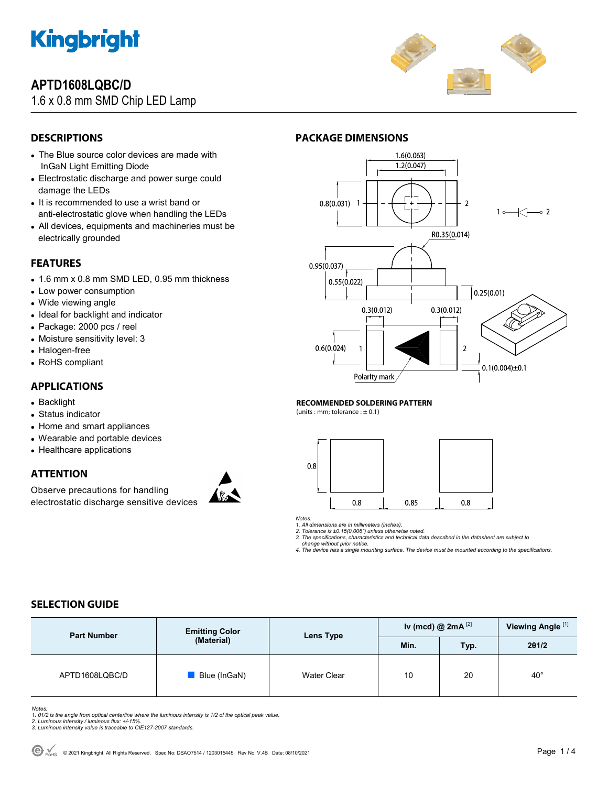

# **APTD1608LQBC/D**

## 1.6 x 0.8 mm SMD Chip LED Lamp



## **DESCRIPTIONS**

- The Blue source color devices are made with InGaN Light Emitting Diode
- Electrostatic discharge and power surge could damage the LEDs
- It is recommended to use a wrist band or anti-electrostatic glove when handling the LEDs
- All devices, equipments and machineries must be electrically grounded

### **FEATURES**

- 1.6 mm x 0.8 mm SMD LED, 0.95 mm thickness
- Low power consumption
- Wide viewing angle
- Ideal for backlight and indicator
- Package: 2000 pcs / reel
- Moisture sensitivity level: 3
- Halogen-free
- RoHS compliant

### **APPLICATIONS**

- Backlight
- Status indicator
- Home and smart appliances
- Wearable and portable devices
- Healthcare applications

### **ATTENTION**

Observe precautions for handling electrostatic discharge sensitive devices





#### **RECOMMENDED SOLDERING PATTERN**

(units : mm; tolerance :  $\pm$  0.1)



*Notes:* 

*1. All dimensions are in millimeters (inches). 2. Tolerance is ±0.15(0.006") unless otherwise noted.* 

*3. The specifications, characteristics and technical data described in the datasheet are subject to change without prior notice.* 

*4. The device has a single mounting surface. The device must be mounted according to the specifications.* 

### **SELECTION GUIDE**

| <b>Part Number</b> | <b>Emitting Color</b><br>(Material) | Lens Type          | Iv (mcd) @ $2mA^{[2]}$ |      | Viewing Angle <sup>[1]</sup> |
|--------------------|-------------------------------------|--------------------|------------------------|------|------------------------------|
|                    |                                     |                    | Min.                   | Typ. | 201/2                        |
| APTD1608LQBC/D     | Blue (InGaN)                        | <b>Water Clear</b> | 10                     | 20   | $40^{\circ}$                 |

Notes:<br>1. 81/2 is the angle from optical centerline where the luminous intensity is 1/2 of the optical peak value.<br>2. Luminous intensity / luminous flux: +/-15%.<br>3. Luminous intensity value is traceable to CIE127-2007 stan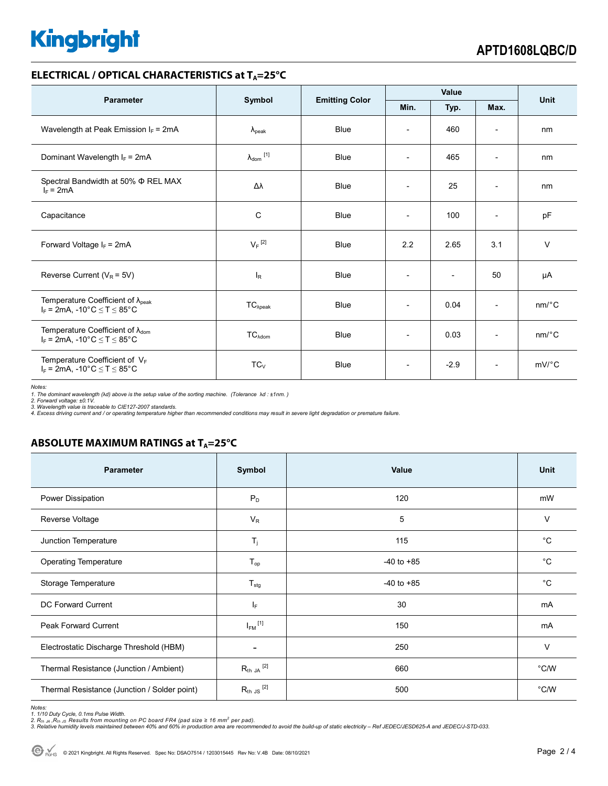# **Kingbright**

### **ELECTRICAL / OPTICAL CHARACTERISTICS at T<sub>A</sub>=25°C**

| <b>Parameter</b>                                                                           |                            |                       | Value                    |                          |                          | <b>Unit</b>           |
|--------------------------------------------------------------------------------------------|----------------------------|-----------------------|--------------------------|--------------------------|--------------------------|-----------------------|
|                                                                                            | Symbol                     | <b>Emitting Color</b> | Min.                     | Typ.                     | Max.                     |                       |
| Wavelength at Peak Emission $I_F$ = 2mA                                                    | $\lambda_{\rm peak}$       | Blue                  | $\overline{\phantom{a}}$ | 460                      | $\overline{\phantom{a}}$ | nm                    |
| Dominant Wavelength $I_F = 2mA$                                                            | $\lambda_{\text{dom}}$ [1] | <b>Blue</b>           | $\overline{\phantom{a}}$ | 465                      | $\overline{\phantom{a}}$ | nm                    |
| Spectral Bandwidth at 50% $\Phi$ REL MAX<br>$I_F = 2mA$                                    | Δλ                         | <b>Blue</b>           | $\overline{\phantom{a}}$ | 25                       | $\overline{\phantom{a}}$ | nm                    |
| Capacitance                                                                                | C                          | <b>Blue</b>           | $\overline{\phantom{a}}$ | 100                      | $\overline{\phantom{0}}$ | pF                    |
| Forward Voltage $I_F$ = 2mA                                                                | $V_F$ <sup>[2]</sup>       | Blue                  | 2.2                      | 2.65                     | 3.1                      | $\vee$                |
| Reverse Current ( $V_R$ = 5V)                                                              | $I_R$                      | Blue                  | $\overline{\phantom{a}}$ | $\overline{\phantom{a}}$ | 50                       | μA                    |
| Temperature Coefficient of $\lambda_{peak}$<br>$I_F = 2mA$ , -10°C $\le T \le 85$ °C       | $TC_{\lambda peak}$        | <b>Blue</b>           | $\overline{\phantom{a}}$ | 0.04                     | $\overline{\phantom{a}}$ | $nm$ <sup>o</sup> $C$ |
| Temperature Coefficient of $\lambda_{\text{dom}}$<br>$I_F = 2mA$ , -10°C $\le T \le 85$ °C | $TC_{\lambda dom}$         | <b>Blue</b>           | $\overline{\phantom{a}}$ | 0.03                     | $\overline{\phantom{a}}$ | $nm$ <sup>o</sup> $C$ |
| Temperature Coefficient of VF<br>$I_F = 2mA$ , -10°C $\le T \le 85$ °C                     | $TC_V$                     | <b>Blue</b>           | $\overline{\phantom{a}}$ | $-2.9$                   | $\overline{\phantom{a}}$ | $mV$ °C               |

*Notes:* 

*1. The dominant wavelength (*λ*d) above is the setup value of the sorting machine. (Tolerance* λ*d : ±1nm. ) 2. Forward voltage: ±0.1V.* 

3. Wavelength value is traceable to CIE127-2007 standards.<br>4. Excess driving current and / or operating temperature higher than recommended conditions may result in severe light degradation or premature failure.

### **ABSOLUTE MAXIMUM RATINGS at T<sub>A</sub>=25°C**

| <b>Parameter</b>                             | Symbol               | Value          | <b>Unit</b>   |
|----------------------------------------------|----------------------|----------------|---------------|
| Power Dissipation                            | $P_D$                | 120            | mW            |
| Reverse Voltage                              | $V_{R}$              | 5              | V             |
| Junction Temperature                         | $T_j$                | 115            | $^{\circ}C$   |
| <b>Operating Temperature</b>                 | $T_{op}$             | $-40$ to $+85$ | $^{\circ}C$   |
| Storage Temperature                          | $T_{\text{stg}}$     | $-40$ to $+85$ | $^{\circ}C$   |
| <b>DC Forward Current</b>                    | $I_F$                | 30             | mA            |
| <b>Peak Forward Current</b>                  | $I_{FM}$ [1]         | 150            | mA            |
| Electrostatic Discharge Threshold (HBM)      | ۰                    | 250            | V             |
| Thermal Resistance (Junction / Ambient)      | $R_{th}$ JA $^{[2]}$ | 660            | $\degree$ C/W |
| Thermal Resistance (Junction / Solder point) | $R_{th}$ JS $^{[2]}$ | 500            | °C/W          |

Notes:<br>1. 1/10 Duty Cycle, 0.1ms Pulse Width.<br>2. R<sub>th JA</sub> ,R<sub>h JS</sub> Results from mounting on PC board FR4 (pad size ≥ 16 mm<sup>2</sup> per pad).<br>3. Relative humidity levels maintained between 40% and 60% in production area are rec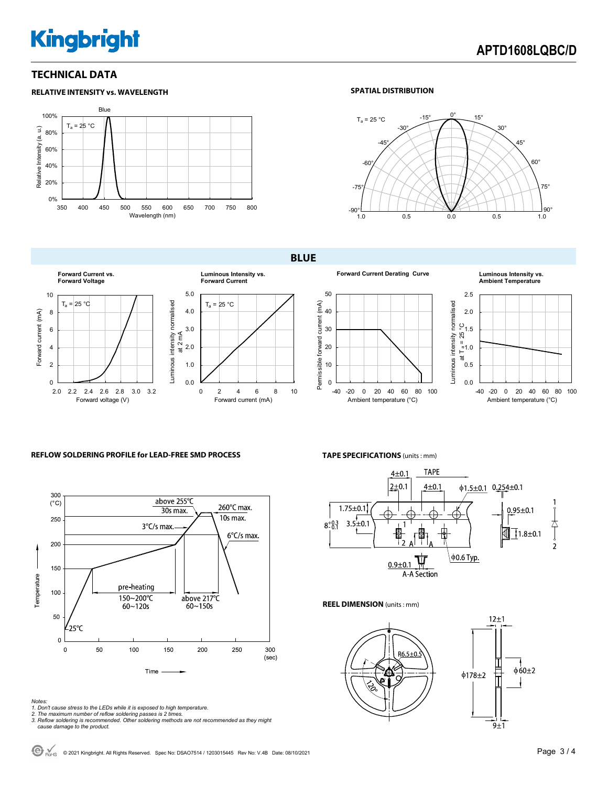# **Kingbright**

### **TECHNICAL DATA**

0%

#### **RELATIVE INTENSITY vs. WAVELENGTH** Blue 100% Ta = 25 °C Relative Intensity (a. u.) Relative Intensity (a. u.) 80% 60% 40% 20%

350 400 450 500 550 600 650 700 750 800 Wavelength (nm)

### **SPATIAL DISTRIBUTION**



**BLUE** 



**Forward Current Derating Curve Luminous Intensity vs.** 

**Ambient Temperature**





0.0 -40 -20 0 20 40 60 80 100 Ambient temperature (°C)

### **REFLOW SOLDERING PROFILE for LEAD-FREE SMD PROCESS**



### **TAPE SPECIFICATIONS** (units : mm)



**REEL DIMENSION** (units : mm)





- 
- 
- Notes:<br>1. Don't cause stress to the LEDs while it is exposed to high temperature.<br>2. The maximum number of reflow soldering passes is 2 times.<br>3. Reflow soldering is recommended. Other soldering methods are not recommended

 $\bigodot$  R<sub>OHS</sub> © 2021 Kingbright. All Rights Reserved. Spec No: DSAO7514 / 1203015445 Rev No: V.4B Date: 08/10/2021<br>
Page 3 / 4